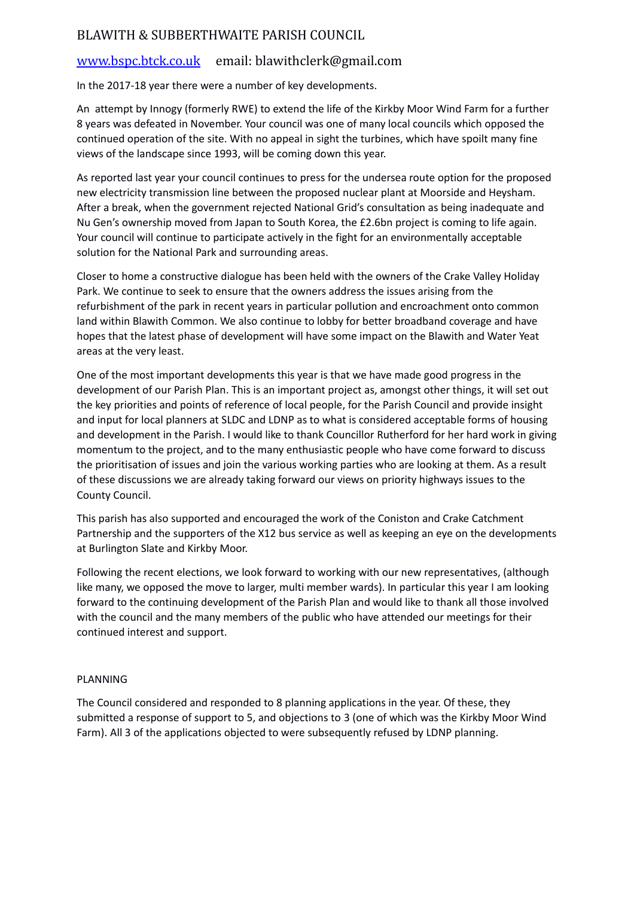## BLAWITH & SUBBERTHWAITE PARISH COUNCIL

## [www.bspc.btck.co.uk](http://www.bspc.btck.co.uk/) email: blawithclerk@gmail.com

In the 2017-18 year there were a number of key developments.

An attempt by Innogy (formerly RWE) to extend the life of the Kirkby Moor Wind Farm for a further 8 years was defeated in November. Your council was one of many local councils which opposed the continued operation of the site. With no appeal in sight the turbines, which have spoilt many fine views of the landscape since 1993, will be coming down this year.

As reported last year your council continues to press for the undersea route option for the proposed new electricity transmission line between the proposed nuclear plant at Moorside and Heysham. After a break, when the government rejected National Grid's consultation as being inadequate and Nu Gen's ownership moved from Japan to South Korea, the £2.6bn project is coming to life again. Your council will continue to participate actively in the fight for an environmentally acceptable solution for the National Park and surrounding areas.

Closer to home a constructive dialogue has been held with the owners of the Crake Valley Holiday Park. We continue to seek to ensure that the owners address the issues arising from the refurbishment of the park in recent years in particular pollution and encroachment onto common land within Blawith Common. We also continue to lobby for better broadband coverage and have hopes that the latest phase of development will have some impact on the Blawith and Water Yeat areas at the very least.

One of the most important developments this year is that we have made good progress in the development of our Parish Plan. This is an important project as, amongst other things, it will set out the key priorities and points of reference of local people, for the Parish Council and provide insight and input for local planners at SLDC and LDNP as to what is considered acceptable forms of housing and development in the Parish. I would like to thank Councillor Rutherford for her hard work in giving momentum to the project, and to the many enthusiastic people who have come forward to discuss the prioritisation of issues and join the various working parties who are looking at them. As a result of these discussions we are already taking forward our views on priority highways issues to the County Council.

This parish has also supported and encouraged the work of the Coniston and Crake Catchment Partnership and the supporters of the X12 bus service as well as keeping an eye on the developments at Burlington Slate and Kirkby Moor.

Following the recent elections, we look forward to working with our new representatives, (although like many, we opposed the move to larger, multi member wards). In particular this year I am looking forward to the continuing development of the Parish Plan and would like to thank all those involved with the council and the many members of the public who have attended our meetings for their continued interest and support.

## PLANNING

The Council considered and responded to 8 planning applications in the year. Of these, they submitted a response of support to 5, and objections to 3 (one of which was the Kirkby Moor Wind Farm). All 3 of the applications objected to were subsequently refused by LDNP planning.